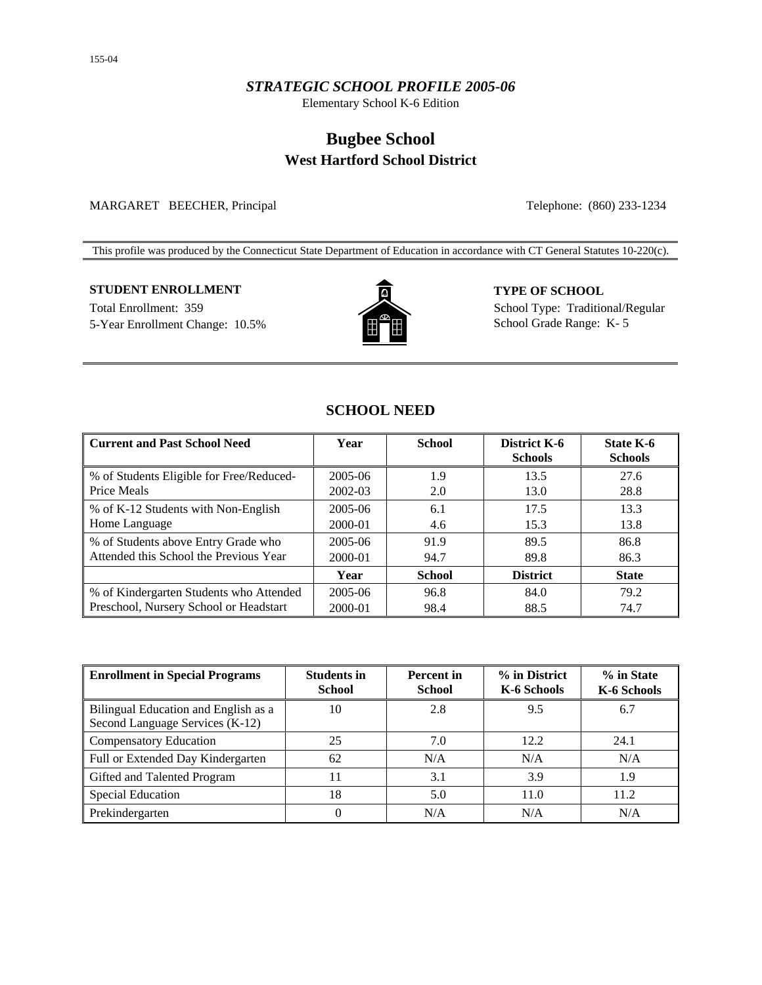# *STRATEGIC SCHOOL PROFILE 2005-06*

Elementary School K-6 Edition

# **Bugbee School West Hartford School District**

### MARGARET BEECHER, Principal Telephone: (860) 233-1234

This profile was produced by the Connecticut State Department of Education in accordance with CT General Statutes 10-220(c).

# **STUDENT ENROLLMENT TYPE OF SCHOOL**

5-Year Enrollment Change: 10.5% **School Grade Range: K-5** School Grade Range: K-5



Total Enrollment: 359 School Type: Traditional/Regular

# **SCHOOL NEED**

| <b>Current and Past School Need</b>                     | Year    | <b>School</b> | District K-6<br><b>Schools</b> | <b>State K-6</b><br><b>Schools</b> |
|---------------------------------------------------------|---------|---------------|--------------------------------|------------------------------------|
| % of Students Eligible for Free/Reduced-<br>Price Meals | 2005-06 | 1.9           | 13.5                           | 27.6                               |
|                                                         | 2002-03 | 2.0           | 13.0                           | 28.8                               |
| % of K-12 Students with Non-English                     | 2005-06 | 6.1           | 17.5                           | 13.3                               |
| Home Language                                           | 2000-01 | 4.6           | 15.3                           | 13.8                               |
| % of Students above Entry Grade who                     | 2005-06 | 91.9          | 89.5                           | 86.8                               |
| Attended this School the Previous Year                  | 2000-01 | 94.7          | 89.8                           | 86.3                               |
|                                                         | Year    | <b>School</b> | <b>District</b>                | <b>State</b>                       |
| % of Kindergarten Students who Attended                 | 2005-06 | 96.8          | 84.0                           | 79.2                               |
| Preschool, Nursery School or Headstart                  | 2000-01 | 98.4          | 88.5                           | 74.7                               |

| <b>Enrollment in Special Programs</b>                                   | <b>Students in</b><br><b>School</b> | <b>Percent</b> in<br><b>School</b> | % in District<br>K-6 Schools | % in State<br>K-6 Schools |
|-------------------------------------------------------------------------|-------------------------------------|------------------------------------|------------------------------|---------------------------|
| Bilingual Education and English as a<br>Second Language Services (K-12) | 10                                  | 2.8                                | 9.5                          | 6.7                       |
| <b>Compensatory Education</b>                                           | 25                                  | 7.0                                | 12.2                         | 24.1                      |
| Full or Extended Day Kindergarten                                       | 62                                  | N/A                                | N/A                          | N/A                       |
| Gifted and Talented Program                                             |                                     | 3.1                                | 3.9                          | 1.9                       |
| <b>Special Education</b>                                                | 18                                  | 5.0                                | 11.0                         | 11.2                      |
| Prekindergarten                                                         | 0                                   | N/A                                | N/A                          | N/A                       |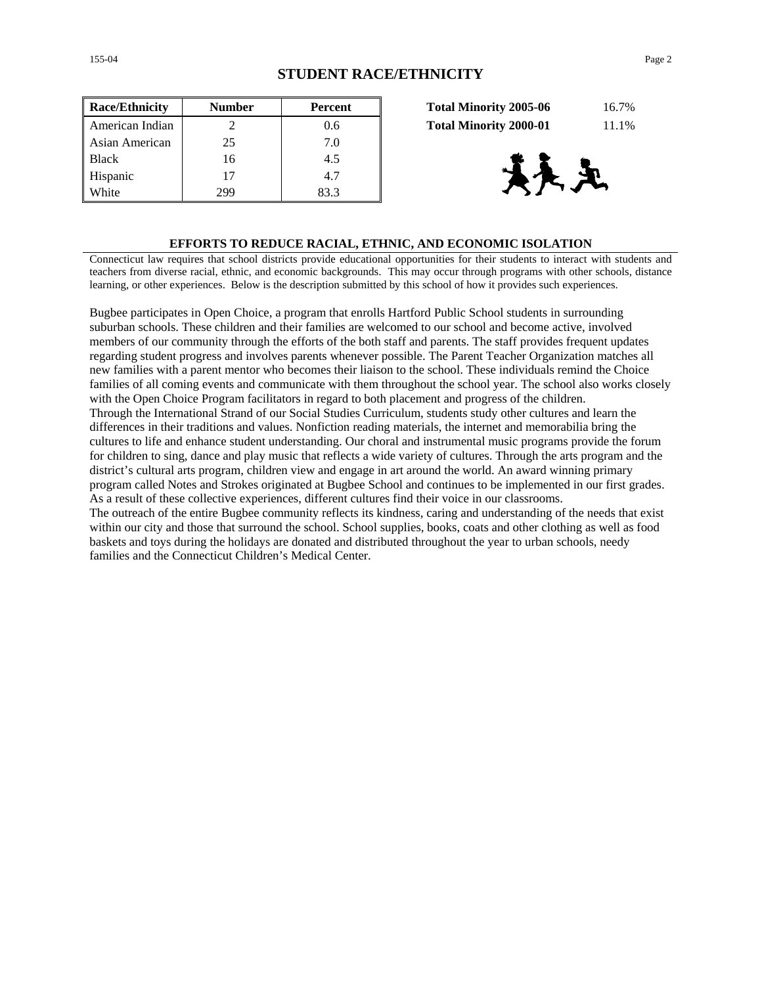| <b>Race/Ethnicity</b> | <b>Number</b> | <b>Percent</b> | 16.7%<br><b>Total Minority 2005-06</b> |
|-----------------------|---------------|----------------|----------------------------------------|
| American Indian       |               | 0.6            | 11.1%<br><b>Total Minority 2000-01</b> |
| Asian American        | 25            | 7.0            |                                        |
| <b>Black</b>          | 16            | 4.5            |                                        |
| Hispanic              | 17            | 4.7            | 快光                                     |
| White                 | 299           | 83.3           |                                        |

| <b>Total Minority 2005-06</b> | 16.7% |
|-------------------------------|-------|
| <b>Total Minority 2000-01</b> | 11.1% |



### **EFFORTS TO REDUCE RACIAL, ETHNIC, AND ECONOMIC ISOLATION**

Connecticut law requires that school districts provide educational opportunities for their students to interact with students and teachers from diverse racial, ethnic, and economic backgrounds. This may occur through programs with other schools, distance learning, or other experiences. Below is the description submitted by this school of how it provides such experiences.

Bugbee participates in Open Choice, a program that enrolls Hartford Public School students in surrounding suburban schools. These children and their families are welcomed to our school and become active, involved members of our community through the efforts of the both staff and parents. The staff provides frequent updates regarding student progress and involves parents whenever possible. The Parent Teacher Organization matches all new families with a parent mentor who becomes their liaison to the school. These individuals remind the Choice families of all coming events and communicate with them throughout the school year. The school also works closely with the Open Choice Program facilitators in regard to both placement and progress of the children. Through the International Strand of our Social Studies Curriculum, students study other cultures and learn the differences in their traditions and values. Nonfiction reading materials, the internet and memorabilia bring the cultures to life and enhance student understanding. Our choral and instrumental music programs provide the forum for children to sing, dance and play music that reflects a wide variety of cultures. Through the arts program and the district's cultural arts program, children view and engage in art around the world. An award winning primary program called Notes and Strokes originated at Bugbee School and continues to be implemented in our first grades. As a result of these collective experiences, different cultures find their voice in our classrooms. The outreach of the entire Bugbee community reflects its kindness, caring and understanding of the needs that exist within our city and those that surround the school. School supplies, books, coats and other clothing as well as food baskets and toys during the holidays are donated and distributed throughout the year to urban schools, needy families and the Connecticut Children's Medical Center.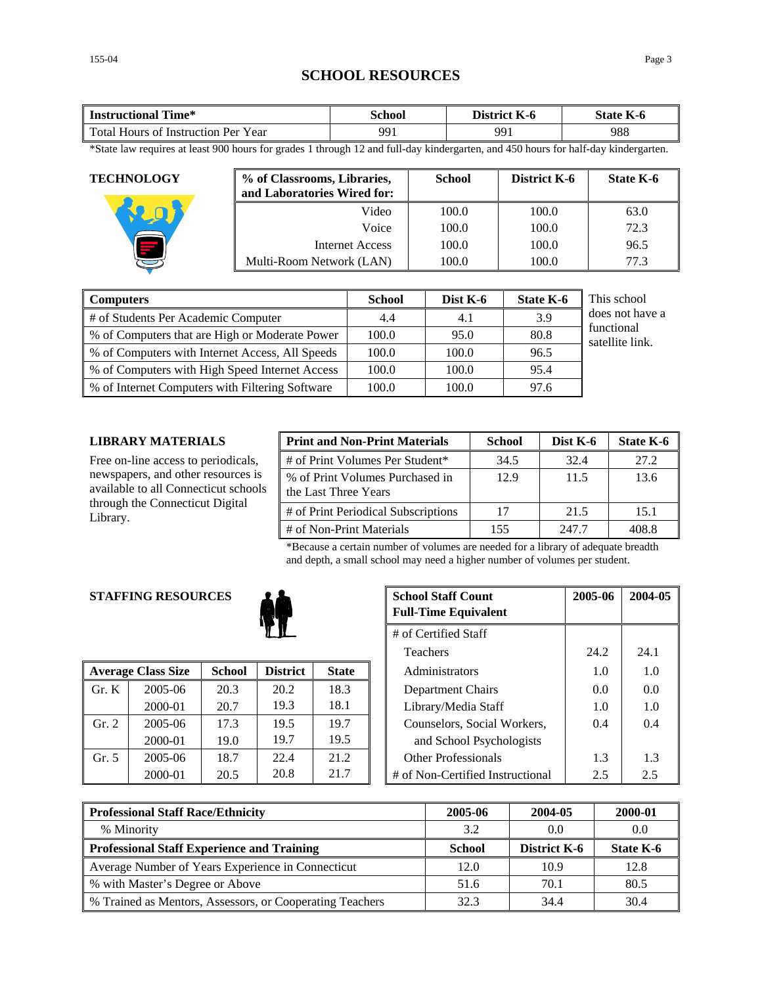# **SCHOOL RESOURCES**

| fime*<br><b>Instructional</b>               | School | <b>District</b><br>K-0 | $\mathbf{r}$<br>State  <br>K-0 |
|---------------------------------------------|--------|------------------------|--------------------------------|
| Total Hours of<br>Year<br>: Instruction Per | 991    | QQ                     | 988                            |

\*State law requires at least 900 hours for grades 1 through 12 and full-day kindergarten, and 450 hours for half-day kindergarten.

| <b>TECHNOLOGY</b> | % of Classrooms, Libraries,<br>and Laboratories Wired for: | <b>School</b> | District K-6 | State K-6 |
|-------------------|------------------------------------------------------------|---------------|--------------|-----------|
|                   | Video                                                      | 100.0         | 100.0        | 63.0      |
|                   | Voice                                                      | 100.0         | 100.0        | 72.3      |
|                   | Internet Access                                            | 100.0         | 100.0        | 96.5      |
|                   | Multi-Room Network (LAN)                                   | 100.0         | 100.0        | 77.3      |

| <b>Computers</b>                                | <b>School</b> | Dist K-6 | <b>State K-6</b> | This school                   |
|-------------------------------------------------|---------------|----------|------------------|-------------------------------|
| # of Students Per Academic Computer             | 4.4           | 4.1      | 3.9              | does not have a               |
| % of Computers that are High or Moderate Power  | 100.0         | 95.0     | 80.8             | functional<br>satellite link. |
| % of Computers with Internet Access, All Speeds | 100.0         | 100.0    | 96.5             |                               |
| % of Computers with High Speed Internet Access  | 100.0         | 100.0    | 95.4             |                               |
| % of Internet Computers with Filtering Software | 100.0         | 100.0    | 97.6             |                               |

### **LIBRARY MATERIALS**

Free on-line access to periodicals, newspapers, and other resources is available to all Connecticut schools through the Connecticut Digital Library.

| <b>Print and Non-Print Materials</b>                    | <b>School</b> | Dist K-6 | State K-6 |
|---------------------------------------------------------|---------------|----------|-----------|
| # of Print Volumes Per Student*                         | 34.5          | 32.4     | 27.2      |
| % of Print Volumes Purchased in<br>the Last Three Years | 12.9          | 11.5     | 13.6      |
| # of Print Periodical Subscriptions                     | 17            | 21.5     | 15.1      |
| # of Non-Print Materials                                | 155           | 247.7    | 408.8     |

\*Because a certain number of volumes are needed for a library of adequate breadth and depth, a small school may need a higher number of volumes per student.

# **STAFFING RESOURCES**



|                | <b>Average Class Size</b> | <b>School</b> | <b>District</b> | <b>State</b> | Administrators                   | 1.0 | 1.0           |
|----------------|---------------------------|---------------|-----------------|--------------|----------------------------------|-----|---------------|
| $\Gamma$ Gr. K | 2005-06                   | 20.3          | 20.2            | 18.3         | Department Chairs                | 0.0 | 0.0           |
|                | 2000-01                   | 20.7          | 19.3            | 18.1         | Library/Media Staff              | 1.0 | 1.0           |
| Gr. 2          | 2005-06                   | 17.3          | 19.5            | 19.7         | Counselors, Social Workers,      | 0.4 | 0.4           |
|                | 2000-01                   | 19.0          | 19.7            | 19.5         | and School Psychologists         |     |               |
| Gr. 5          | 2005-06                   | 18.7          | 22.4            | 21.2         | <b>Other Professionals</b>       | 1.3 | 1.3           |
|                | 2000-01                   | 20.5          | 20.8            | 21.7         | # of Non-Certified Instructional | 2.5 | $2.5^{\circ}$ |

| <b>G RESOURCES</b> |                      |                 |              | <b>School Staff Count</b><br><b>Full-Time Equivalent</b> | 2005-06 | 2004-05 |
|--------------------|----------------------|-----------------|--------------|----------------------------------------------------------|---------|---------|
|                    | # of Certified Staff |                 |              |                                                          |         |         |
|                    |                      |                 |              | <b>Teachers</b>                                          | 24.2    | 24.1    |
| 'lass Size         | <b>School</b>        | <b>District</b> | <b>State</b> | Administrators                                           | 1.0     | 1.0     |
| 2005-06            | 20.3                 | 20.2            | 18.3         | Department Chairs                                        | 0.0     | 0.0     |
| 2000-01            | 20.7                 | 19.3            | 18.1         | Library/Media Staff                                      | 1.0     | 1.0     |
| 2005-06            | 17.3                 | 19.5            | 19.7         | Counselors, Social Workers,                              | 0.4     | 0.4     |
| 2000-01            | 19.0                 | 19.7            | 19.5         | and School Psychologists                                 |         |         |
| 2005-06            | 18.7                 | 22.4            | 21.2         | <b>Other Professionals</b>                               | 1.3     | 1.3     |
| 2000-01            | 20.5                 | 20.8            | 21.7         | # of Non-Certified Instructional                         | 2.5     | 2.5     |

| <b>Professional Staff Race/Ethnicity</b>                 | 2005-06       | 2004-05             | 2000-01   |
|----------------------------------------------------------|---------------|---------------------|-----------|
| % Minority                                               | 3.2           | 0.0                 | 0.0       |
| <b>Professional Staff Experience and Training</b>        | <b>School</b> | <b>District K-6</b> | State K-6 |
| Average Number of Years Experience in Connecticut        | 12.0          | 10.9                | 12.8      |
| % with Master's Degree or Above                          | 51.6          | 70.1                | 80.5      |
| % Trained as Mentors, Assessors, or Cooperating Teachers | 32.3          | 34.4                | 30.4      |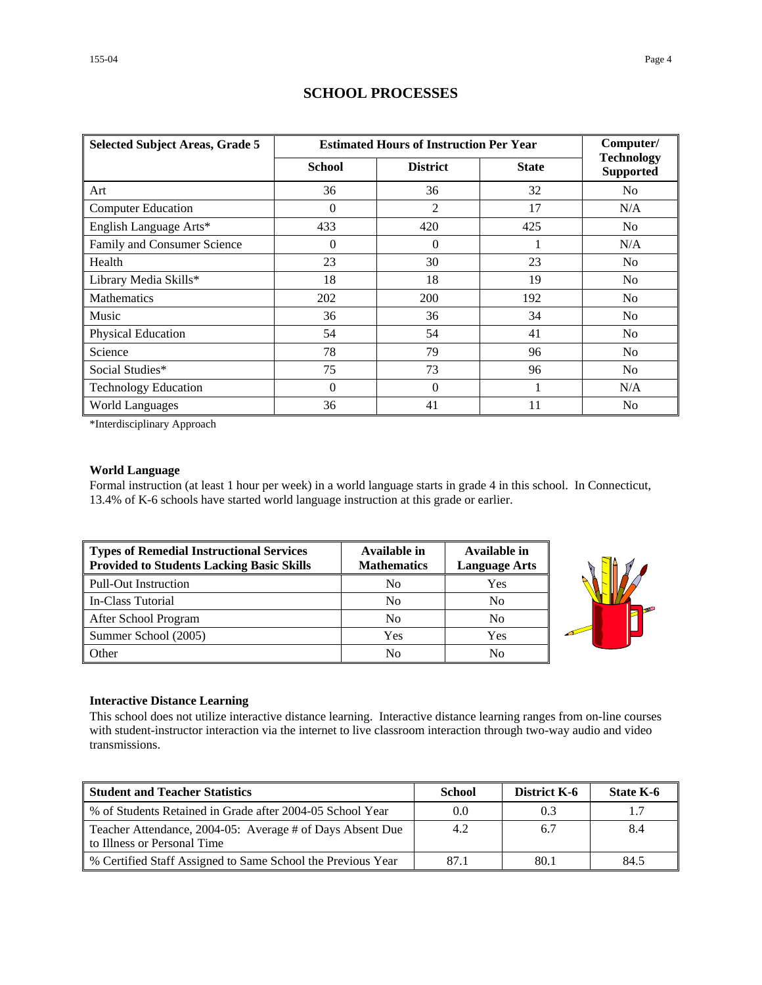| <b>Selected Subject Areas, Grade 5</b> | <b>Estimated Hours of Instruction Per Year</b> | Computer/       |              |                                       |
|----------------------------------------|------------------------------------------------|-----------------|--------------|---------------------------------------|
|                                        | <b>School</b>                                  | <b>District</b> | <b>State</b> | <b>Technology</b><br><b>Supported</b> |
| Art                                    | 36                                             | 36              | 32           | N <sub>0</sub>                        |
| <b>Computer Education</b>              | $\Omega$                                       | 2               | 17           | N/A                                   |
| English Language Arts*                 | 433                                            | 420             | 425          | N <sub>o</sub>                        |
| Family and Consumer Science            | $\Omega$                                       | $\Omega$        |              | N/A                                   |
| Health                                 | 23                                             | 30              | 23           | N <sub>0</sub>                        |
| Library Media Skills*                  | 18                                             | 18              | 19           | N <sub>0</sub>                        |
| <b>Mathematics</b>                     | 202                                            | 200             | 192          | N <sub>0</sub>                        |
| Music                                  | 36                                             | 36              | 34           | No                                    |
| Physical Education                     | 54                                             | 54              | 41           | N <sub>0</sub>                        |
| Science                                | 78                                             | 79              | 96           | N <sub>0</sub>                        |
| Social Studies*                        | 75                                             | 73              | 96           | N <sub>0</sub>                        |
| <b>Technology Education</b>            | $\Omega$                                       | $\Omega$        |              | N/A                                   |
| <b>World Languages</b>                 | 36                                             | 41              | 11           | No                                    |

# **SCHOOL PROCESSES**

\*Interdisciplinary Approach

### **World Language**

Formal instruction (at least 1 hour per week) in a world language starts in grade 4 in this school. In Connecticut, 13.4% of K-6 schools have started world language instruction at this grade or earlier.

| Types of Remedial Instructional Services<br><b>Provided to Students Lacking Basic Skills</b> | Available in<br><b>Mathematics</b> | Available in<br><b>Language Arts</b> |
|----------------------------------------------------------------------------------------------|------------------------------------|--------------------------------------|
| <b>Pull-Out Instruction</b>                                                                  | N <sub>0</sub>                     | Yes                                  |
| In-Class Tutorial                                                                            | N <sub>0</sub>                     | No                                   |
| After School Program                                                                         | N <sub>o</sub>                     | No                                   |
| Summer School (2005)                                                                         | Yes                                | Yes                                  |
| Other                                                                                        | No                                 | No                                   |



#### **Interactive Distance Learning**

This school does not utilize interactive distance learning. Interactive distance learning ranges from on-line courses with student-instructor interaction via the internet to live classroom interaction through two-way audio and video transmissions.

| <b>Student and Teacher Statistics</b>                                                    | School | <b>District K-6</b> | State K-6 |
|------------------------------------------------------------------------------------------|--------|---------------------|-----------|
| ■ % of Students Retained in Grade after 2004-05 School Year                              | 0.0    | 0.3                 | 1.7       |
| Teacher Attendance, 2004-05: Average # of Days Absent Due<br>to Illness or Personal Time | 4.2    | 6.7                 | 8.4       |
| ■ % Certified Staff Assigned to Same School the Previous Year                            | 87.1   | 80.1                | 84.5      |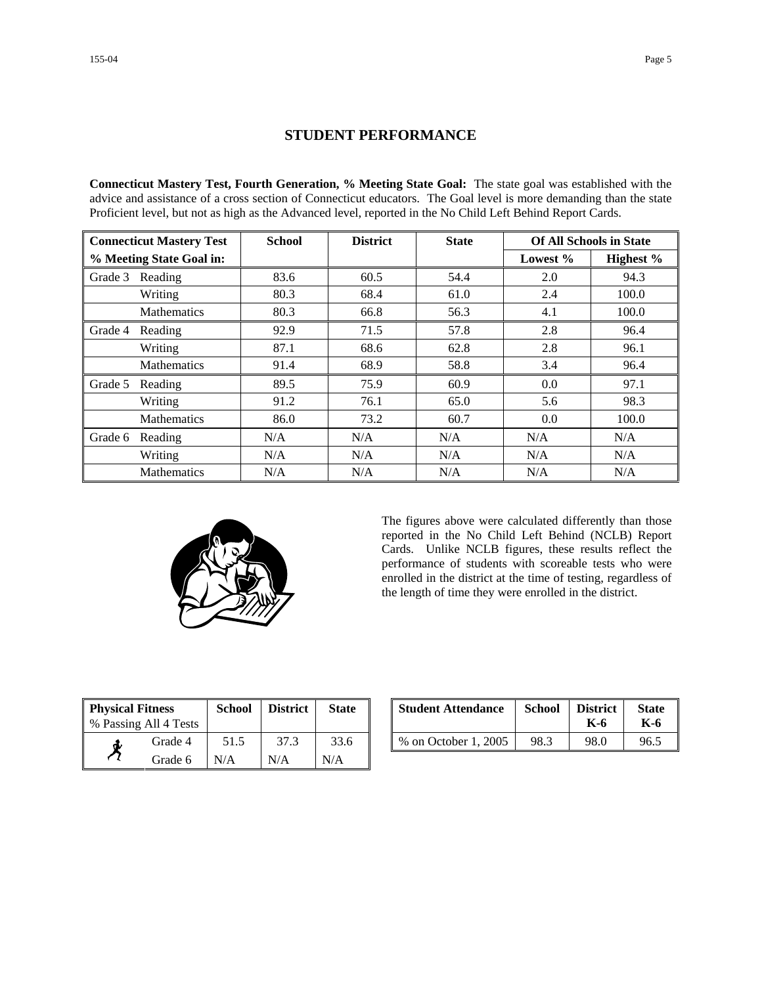# **STUDENT PERFORMANCE**

**Connecticut Mastery Test, Fourth Generation, % Meeting State Goal:** The state goal was established with the advice and assistance of a cross section of Connecticut educators. The Goal level is more demanding than the state Proficient level, but not as high as the Advanced level, reported in the No Child Left Behind Report Cards.

| <b>Connecticut Mastery Test</b> |                    | <b>School</b> | <b>District</b> | <b>State</b> | <b>Of All Schools in State</b> |           |
|---------------------------------|--------------------|---------------|-----------------|--------------|--------------------------------|-----------|
| % Meeting State Goal in:        |                    |               |                 |              | Lowest $%$                     | Highest % |
| Grade 3                         | Reading            | 83.6          | 60.5            | 54.4         | 2.0                            | 94.3      |
|                                 | Writing            | 80.3          | 68.4            | 61.0         | 2.4                            | 100.0     |
|                                 | <b>Mathematics</b> | 80.3          | 66.8            | 56.3         | 4.1                            | 100.0     |
| Grade 4                         | Reading            | 92.9          | 71.5            | 57.8         | 2.8                            | 96.4      |
|                                 | Writing            | 87.1          | 68.6            | 62.8         | 2.8                            | 96.1      |
|                                 | Mathematics        | 91.4          | 68.9            | 58.8         | 3.4                            | 96.4      |
| Grade 5                         | Reading            | 89.5          | 75.9            | 60.9         | 0.0                            | 97.1      |
|                                 | Writing            | 91.2          | 76.1            | 65.0         | 5.6                            | 98.3      |
|                                 | <b>Mathematics</b> | 86.0          | 73.2            | 60.7         | 0.0                            | 100.0     |
| Grade 6                         | Reading            | N/A           | N/A             | N/A          | N/A                            | N/A       |
|                                 | Writing            | N/A           | N/A             | N/A          | N/A                            | N/A       |
|                                 | <b>Mathematics</b> | N/A           | N/A             | N/A          | N/A                            | N/A       |



The figures above were calculated differently than those reported in the No Child Left Behind (NCLB) Report Cards. Unlike NCLB figures, these results reflect the performance of students with scoreable tests who were enrolled in the district at the time of testing, regardless of the length of time they were enrolled in the district.

| <b>Physical Fitness</b> |                       | <b>School</b> | <b>District</b> | <b>State</b> |
|-------------------------|-----------------------|---------------|-----------------|--------------|
|                         | % Passing All 4 Tests |               |                 |              |
|                         | Grade 4               | 51.5          | 37.3            | 33.6         |
|                         | Grade 6               | N/A           | N/A             | N/A          |

| ness<br>11 4 Tests | School | <b>District</b> | <b>State</b> | <b>Student Attendance</b> | School | <b>District</b><br>K-6 | <b>State</b><br>K-6 |
|--------------------|--------|-----------------|--------------|---------------------------|--------|------------------------|---------------------|
| Grade 4            | 51.5   |                 | 33.6         | % on October 1, 2005      | 98.3   | 98.0                   | 96.5                |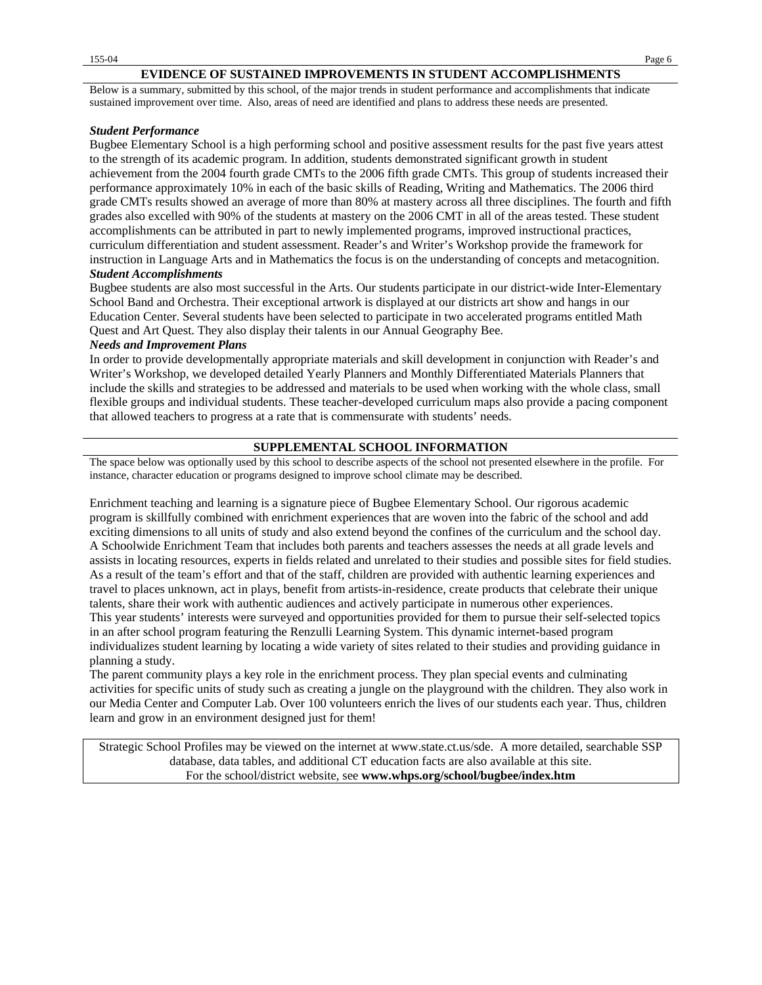#### **EVIDENCE OF SUSTAINED IMPROVEMENTS IN STUDENT ACCOMPLISHMENTS**

Below is a summary, submitted by this school, of the major trends in student performance and accomplishments that indicate sustained improvement over time. Also, areas of need are identified and plans to address these needs are presented.

### *Student Performance*

Bugbee Elementary School is a high performing school and positive assessment results for the past five years attest to the strength of its academic program. In addition, students demonstrated significant growth in student achievement from the 2004 fourth grade CMTs to the 2006 fifth grade CMTs. This group of students increased their performance approximately 10% in each of the basic skills of Reading, Writing and Mathematics. The 2006 third grade CMTs results showed an average of more than 80% at mastery across all three disciplines. The fourth and fifth grades also excelled with 90% of the students at mastery on the 2006 CMT in all of the areas tested. These student accomplishments can be attributed in part to newly implemented programs, improved instructional practices, curriculum differentiation and student assessment. Reader's and Writer's Workshop provide the framework for instruction in Language Arts and in Mathematics the focus is on the understanding of concepts and metacognition.

### *Student Accomplishments*

Bugbee students are also most successful in the Arts. Our students participate in our district-wide Inter-Elementary School Band and Orchestra. Their exceptional artwork is displayed at our districts art show and hangs in our Education Center. Several students have been selected to participate in two accelerated programs entitled Math Quest and Art Quest. They also display their talents in our Annual Geography Bee.

### *Needs and Improvement Plans*

In order to provide developmentally appropriate materials and skill development in conjunction with Reader's and Writer's Workshop, we developed detailed Yearly Planners and Monthly Differentiated Materials Planners that include the skills and strategies to be addressed and materials to be used when working with the whole class, small flexible groups and individual students. These teacher-developed curriculum maps also provide a pacing component that allowed teachers to progress at a rate that is commensurate with students' needs.

### **SUPPLEMENTAL SCHOOL INFORMATION**

The space below was optionally used by this school to describe aspects of the school not presented elsewhere in the profile. For instance, character education or programs designed to improve school climate may be described.

Enrichment teaching and learning is a signature piece of Bugbee Elementary School. Our rigorous academic program is skillfully combined with enrichment experiences that are woven into the fabric of the school and add exciting dimensions to all units of study and also extend beyond the confines of the curriculum and the school day. A Schoolwide Enrichment Team that includes both parents and teachers assesses the needs at all grade levels and assists in locating resources, experts in fields related and unrelated to their studies and possible sites for field studies. As a result of the team's effort and that of the staff, children are provided with authentic learning experiences and travel to places unknown, act in plays, benefit from artists-in-residence, create products that celebrate their unique talents, share their work with authentic audiences and actively participate in numerous other experiences. This year students' interests were surveyed and opportunities provided for them to pursue their self-selected topics in an after school program featuring the Renzulli Learning System. This dynamic internet-based program individualizes student learning by locating a wide variety of sites related to their studies and providing guidance in planning a study.

The parent community plays a key role in the enrichment process. They plan special events and culminating activities for specific units of study such as creating a jungle on the playground with the children. They also work in our Media Center and Computer Lab. Over 100 volunteers enrich the lives of our students each year. Thus, children learn and grow in an environment designed just for them!

Strategic School Profiles may be viewed on the internet at www.state.ct.us/sde. A more detailed, searchable SSP database, data tables, and additional CT education facts are also available at this site. For the school/district website, see **www.whps.org/school/bugbee/index.htm**